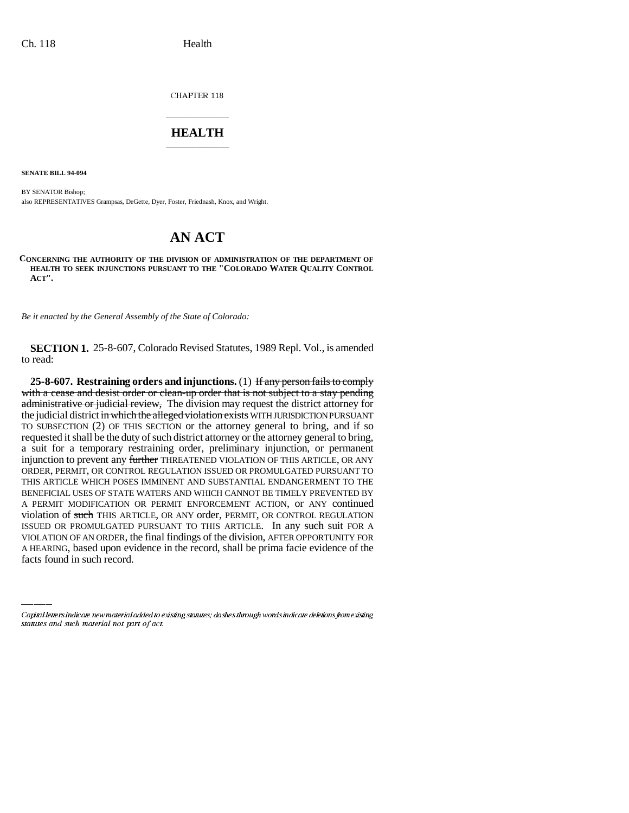CHAPTER 118

## \_\_\_\_\_\_\_\_\_\_\_\_\_\_\_ **HEALTH** \_\_\_\_\_\_\_\_\_\_\_\_\_\_\_

**SENATE BILL 94-094**

BY SENATOR Bishop; also REPRESENTATIVES Grampsas, DeGette, Dyer, Foster, Friednash, Knox, and Wright.

## **AN ACT**

**CONCERNING THE AUTHORITY OF THE DIVISION OF ADMINISTRATION OF THE DEPARTMENT OF HEALTH TO SEEK INJUNCTIONS PURSUANT TO THE "COLORADO WATER QUALITY CONTROL ACT".**

*Be it enacted by the General Assembly of the State of Colorado:*

**SECTION 1.** 25-8-607, Colorado Revised Statutes, 1989 Repl. Vol., is amended to read:

ISSUED OR PROMULGATED PURSUANT TO THIS ARTICLE. In any such suit FOR A **25-8-607. Restraining orders and injunctions.** (1) If any person fails to comply with a cease and desist order or clean-up order that is not subject to a stay pending administrative or judicial review, The division may request the district attorney for the judicial district in which the alleged violation exists WITH JURISDICTION PURSUANT TO SUBSECTION (2) OF THIS SECTION or the attorney general to bring, and if so requested it shall be the duty of such district attorney or the attorney general to bring, a suit for a temporary restraining order, preliminary injunction, or permanent injunction to prevent any further THREATENED VIOLATION OF THIS ARTICLE, OR ANY ORDER, PERMIT, OR CONTROL REGULATION ISSUED OR PROMULGATED PURSUANT TO THIS ARTICLE WHICH POSES IMMINENT AND SUBSTANTIAL ENDANGERMENT TO THE BENEFICIAL USES OF STATE WATERS AND WHICH CANNOT BE TIMELY PREVENTED BY A PERMIT MODIFICATION OR PERMIT ENFORCEMENT ACTION, or ANY continued violation of such THIS ARTICLE, OR ANY order, PERMIT, OR CONTROL REGULATION VIOLATION OF AN ORDER, the final findings of the division, AFTER OPPORTUNITY FOR A HEARING, based upon evidence in the record, shall be prima facie evidence of the facts found in such record.

Capital letters indicate new material added to existing statutes; dashes through words indicate deletions from existing statutes and such material not part of act.